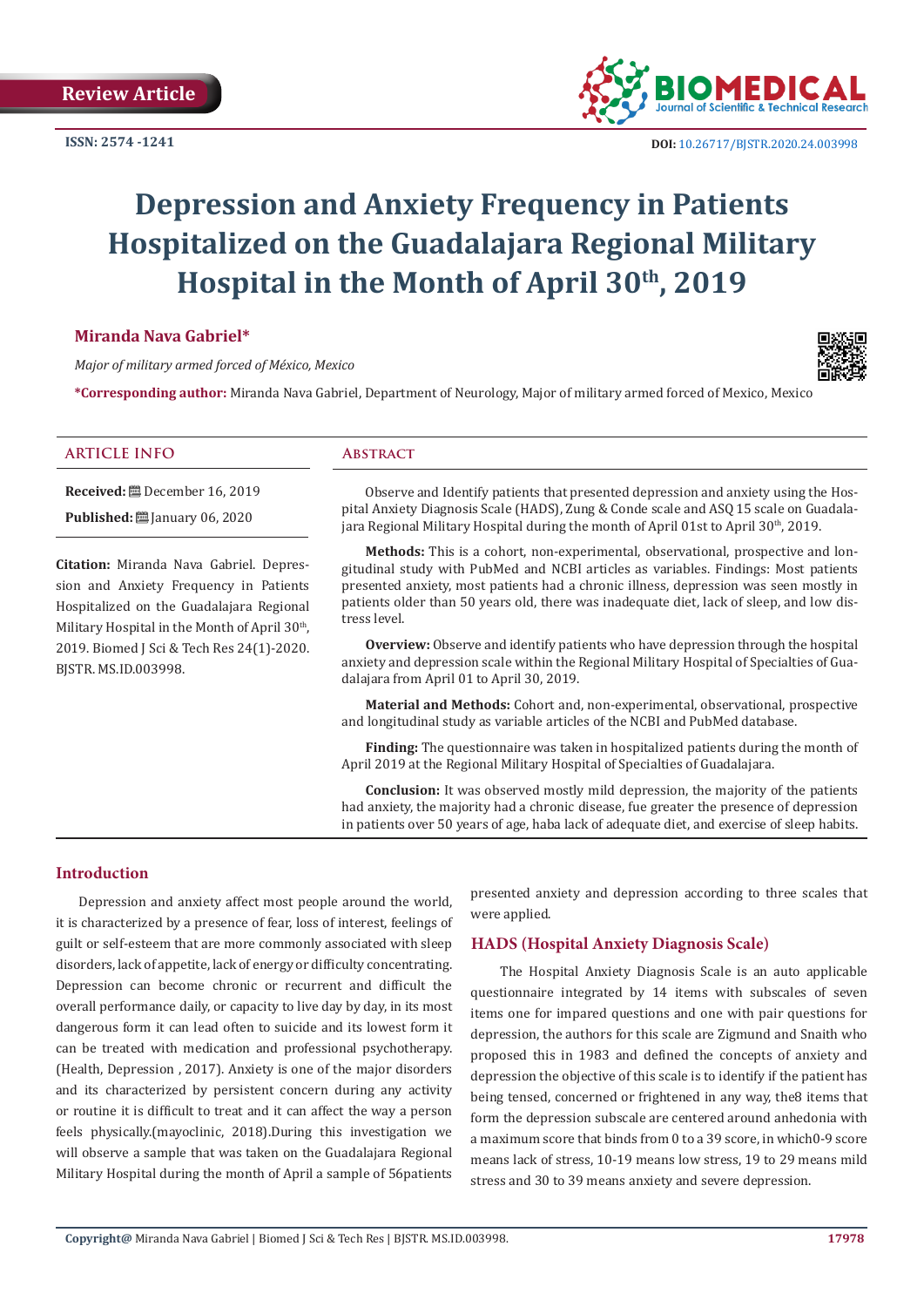**ISSN: 2574 -1241**



 **DOI:** [10.26717/BJSTR.2020.24.0039](http://dx.doi.org/10.26717/BJSTR.2020.24.003998)98

# **Depression and Anxiety Frequency in Patients Hospitalized on the Guadalajara Regional Military Hospital in the Month of April 30th, 2019**

# **Miranda Nava Gabriel\***

*Major of military armed forced of México, Mexico*

**\*Corresponding author:** Miranda Nava Gabriel, Department of Neurology, Major of military armed forced of Mexico, Mexico

#### **ARTICLE INFO Abstract**

**Received:** December 16, 2019

**Published:** [2010] January 06, 2020

**Citation:** Miranda Nava Gabriel. Depression and Anxiety Frequency in Patients Hospitalized on the Guadalajara Regional Military Hospital in the Month of April 30<sup>th</sup>, 2019. Biomed J Sci & Tech Res 24(1)-2020. BJSTR. MS.ID.003998.

Observe and Identify patients that presented depression and anxiety using the Hospital Anxiety Diagnosis Scale (HADS), Zung & Conde scale and ASQ 15 scale on Guadalajara Regional Military Hospital during the month of April 01st to April 30<sup>th</sup>, 2019.

**Methods:** This is a cohort, non-experimental, observational, prospective and longitudinal study with PubMed and NCBI articles as variables. Findings: Most patients presented anxiety, most patients had a chronic illness, depression was seen mostly in patients older than 50 years old, there was inadequate diet, lack of sleep, and low distress level.

**Overview:** Observe and identify patients who have depression through the hospital anxiety and depression scale within the Regional Military Hospital of Specialties of Guadalajara from April 01 to April 30, 2019.

**Material and Methods:** Cohort and, non-experimental, observational, prospective and longitudinal study as variable articles of the NCBI and PubMed database.

**Finding:** The questionnaire was taken in hospitalized patients during the month of April 2019 at the Regional Military Hospital of Specialties of Guadalajara.

**Conclusion:** It was observed mostly mild depression, the majority of the patients had anxiety, the majority had a chronic disease, fue greater the presence of depression in patients over 50 years of age, haba lack of adequate diet, and exercise of sleep habits.

#### **Introduction**

Depression and anxiety affect most people around the world, it is characterized by a presence of fear, loss of interest, feelings of guilt or self-esteem that are more commonly associated with sleep disorders, lack of appetite, lack of energy or difficulty concentrating. Depression can become chronic or recurrent and difficult the overall performance daily, or capacity to live day by day, in its most dangerous form it can lead often to suicide and its lowest form it can be treated with medication and professional psychotherapy. (Health, Depression , 2017). Anxiety is one of the major disorders and its characterized by persistent concern during any activity or routine it is difficult to treat and it can affect the way a person feels physically.(mayoclinic, 2018).During this investigation we will observe a sample that was taken on the Guadalajara Regional Military Hospital during the month of April a sample of 56patients

presented anxiety and depression according to three scales that were applied.

#### **HADS (Hospital Anxiety Diagnosis Scale)**

 The Hospital Anxiety Diagnosis Scale is an auto applicable questionnaire integrated by 14 items with subscales of seven items one for impared questions and one with pair questions for depression, the authors for this scale are Zigmund and Snaith who proposed this in 1983 and defined the concepts of anxiety and depression the objective of this scale is to identify if the patient has being tensed, concerned or frightened in any way, the8 items that form the depression subscale are centered around anhedonia with a maximum score that binds from 0 to a 39 score, in which0-9 score means lack of stress, 10-19 means low stress, 19 to 29 means mild stress and 30 to 39 means anxiety and severe depression.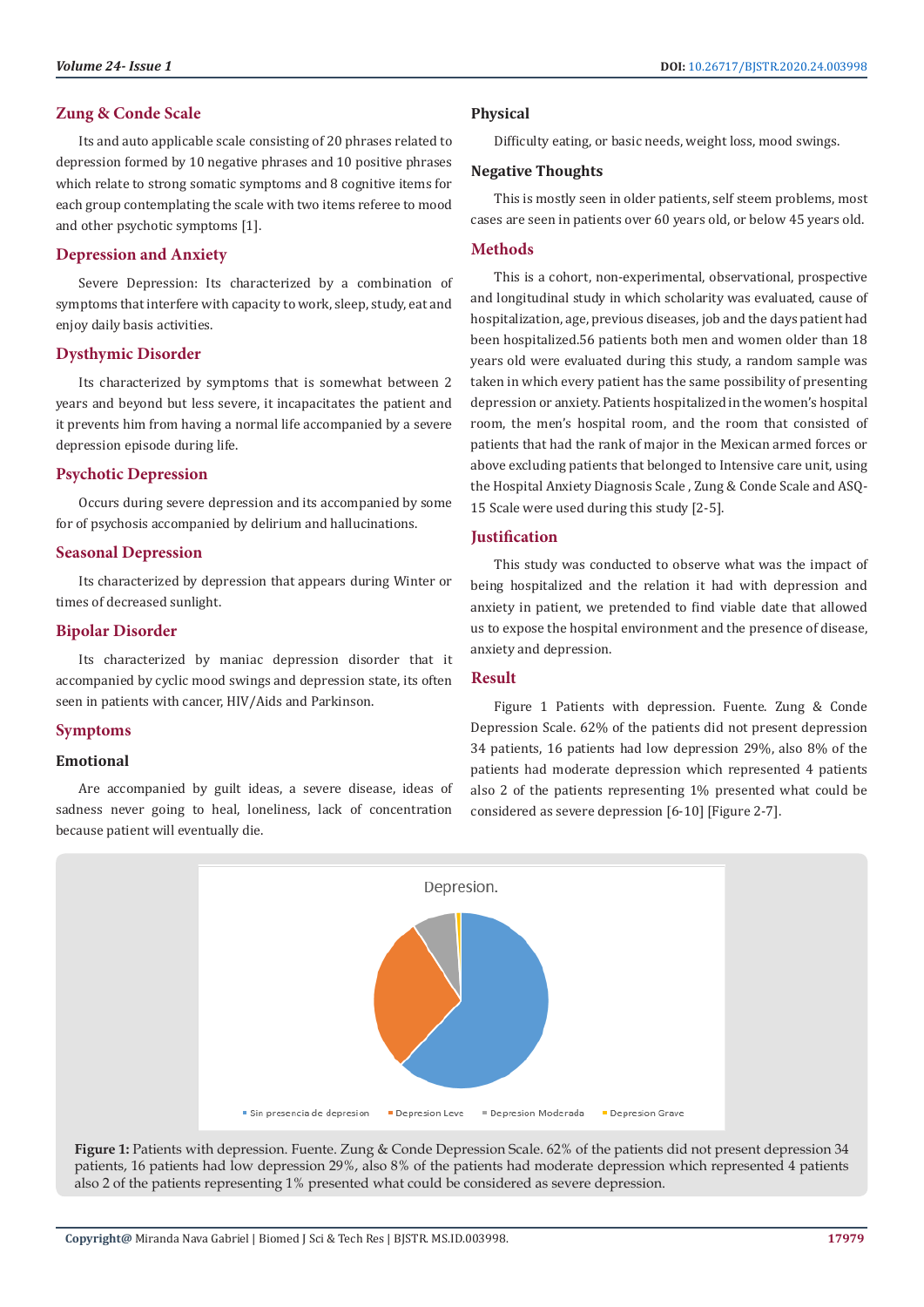# **Depression and Anxiety**

and other psychotic symptoms [1].

Severe Depression: Its characterized by a combination of symptoms that interfere with capacity to work, sleep, study, eat and enjoy daily basis activities.

# **Dysthymic Disorder**

Its characterized by symptoms that is somewhat between 2 years and beyond but less severe, it incapacitates the patient and it prevents him from having a normal life accompanied by a severe depression episode during life.

# **Psychotic Depression**

Occurs during severe depression and its accompanied by some for of psychosis accompanied by delirium and hallucinations.

# **Seasonal Depression**

Its characterized by depression that appears during Winter or times of decreased sunlight.

# **Bipolar Disorder**

Its characterized by maniac depression disorder that it accompanied by cyclic mood swings and depression state, its often seen in patients with cancer, HIV/Aids and Parkinson.

#### **Symptoms**

#### **Emotional**

Are accompanied by guilt ideas, a severe disease, ideas of sadness never going to heal, loneliness, lack of concentration because patient will eventually die.

# **Physical**

Difficulty eating, or basic needs, weight loss, mood swings.

#### **Negative Thoughts**

This is mostly seen in older patients, self steem problems, most cases are seen in patients over 60 years old, or below 45 years old.

#### **Methods**

This is a cohort, non-experimental, observational, prospective and longitudinal study in which scholarity was evaluated, cause of hospitalization, age, previous diseases, job and the days patient had been hospitalized.56 patients both men and women older than 18 years old were evaluated during this study, a random sample was taken in which every patient has the same possibility of presenting depression or anxiety. Patients hospitalized in the women's hospital room, the men's hospital room, and the room that consisted of patients that had the rank of major in the Mexican armed forces or above excluding patients that belonged to Intensive care unit, using the Hospital Anxiety Diagnosis Scale , Zung & Conde Scale and ASQ-15 Scale were used during this study [2-5].

# **Justification**

This study was conducted to observe what was the impact of being hospitalized and the relation it had with depression and anxiety in patient, we pretended to find viable date that allowed us to expose the hospital environment and the presence of disease, anxiety and depression.

#### **Result**

Figure 1 Patients with depression. Fuente. Zung & Conde Depression Scale. 62% of the patients did not present depression 34 patients, 16 patients had low depression 29%, also 8% of the patients had moderate depression which represented 4 patients also 2 of the patients representing 1% presented what could be considered as severe depression [6-10] [Figure 2-7].



**Figure 1:** Patients with depression. Fuente. Zung & Conde Depression Scale. 62% of the patients did not present depression 34 patients, 16 patients had low depression 29%, also 8% of the patients had moderate depression which represented 4 patients also 2 of the patients representing 1% presented what could be considered as severe depression.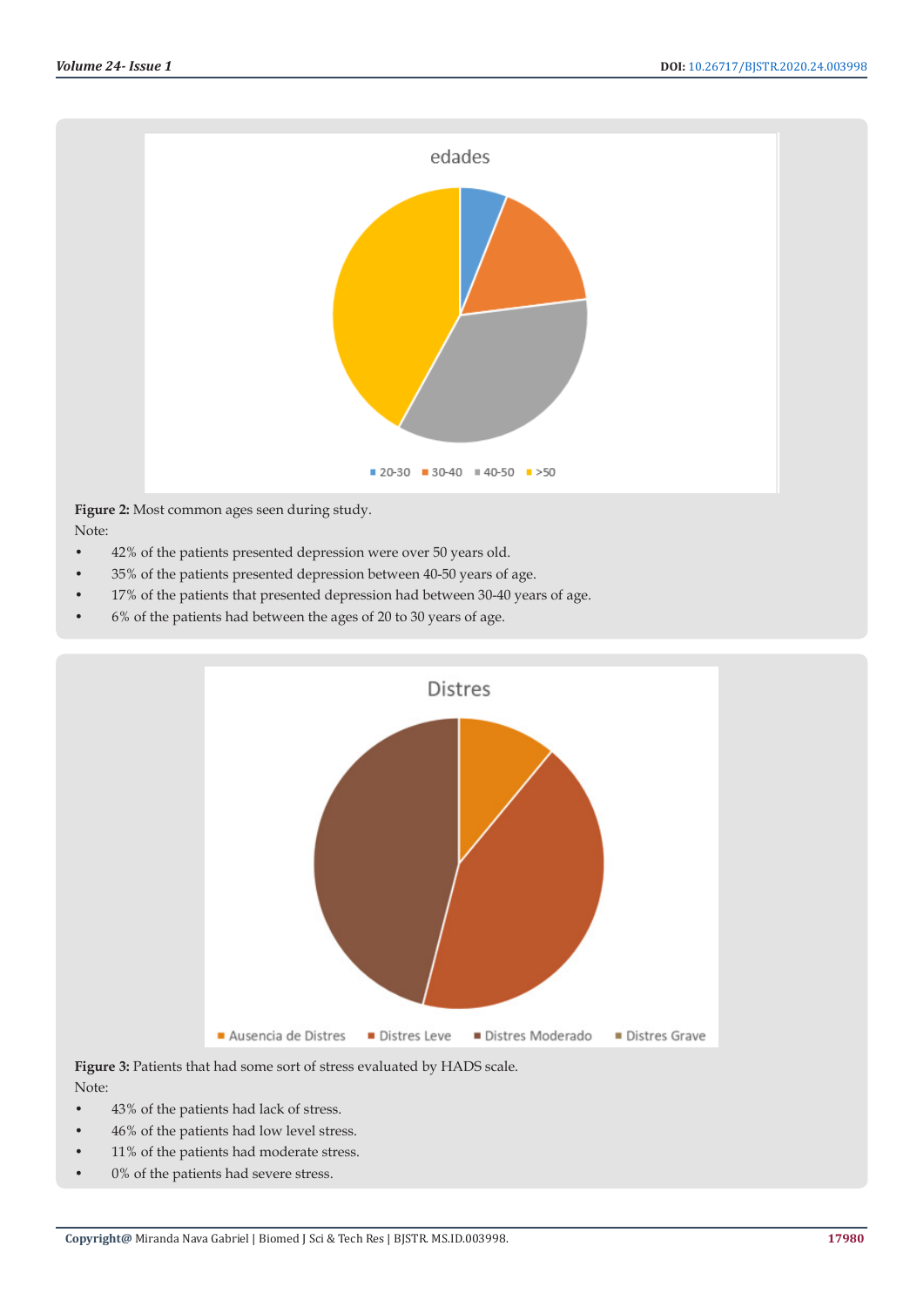

# **Figure 2:** Most common ages seen during study. Note:

- 42% of the patients presented depression were over 50 years old.
- 35% of the patients presented depression between 40-50 years of age.
- 17% of the patients that presented depression had between 30-40 years of age.
- 6% of the patients had between the ages of 20 to 30 years of age.



Figure 3: Patients that had some sort of stress evaluated by HADS scale. Note:

- 43% of the patients had lack of stress.
- 46% of the patients had low level stress.
- 11% of the patients had moderate stress.
- 0% of the patients had severe stress.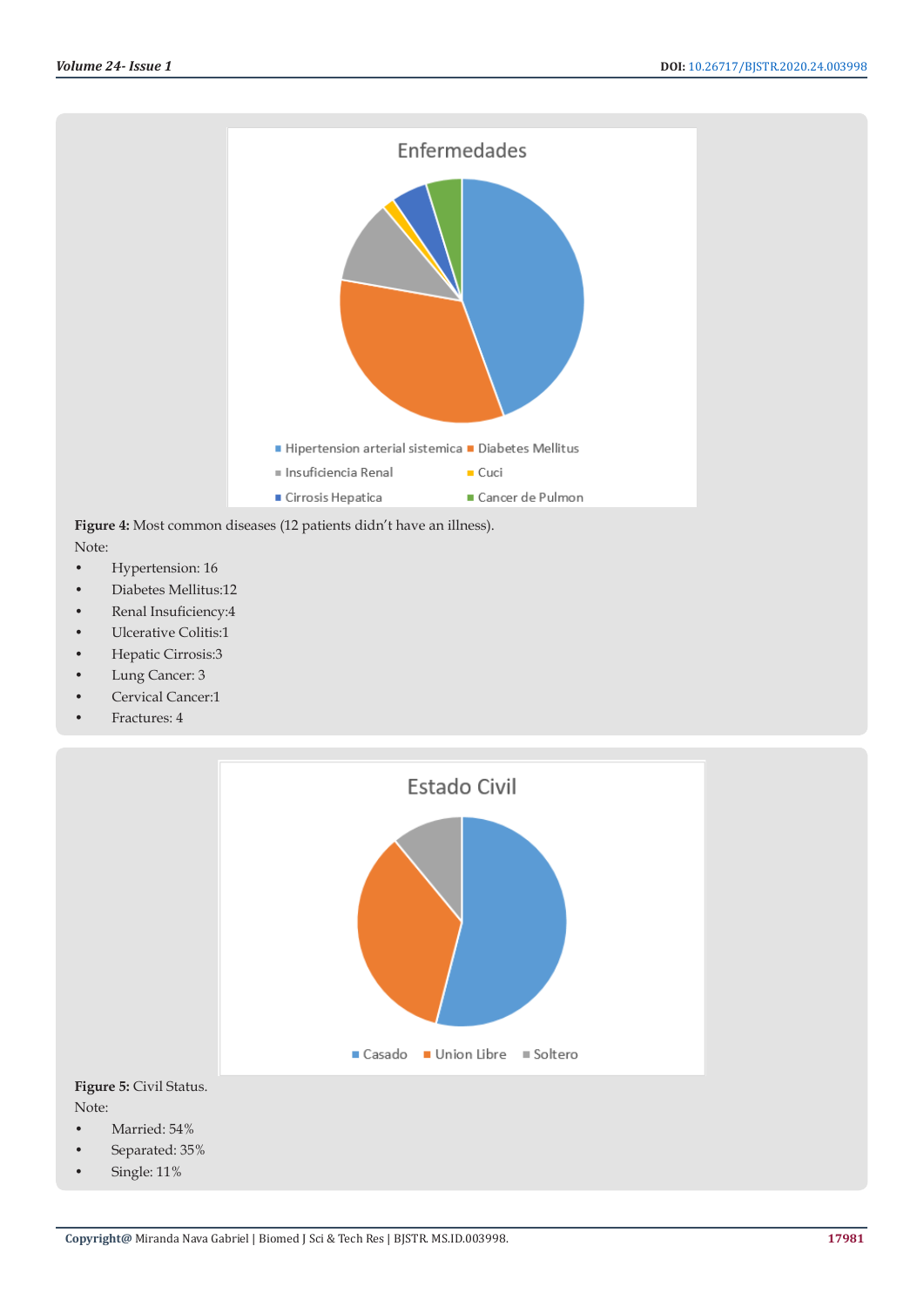

Note:

- Hypertension: 16
- Diabetes Mellitus:12
- Renal Insuficiency:4
- Ulcerative Colitis:1
- Hepatic Cirrosis:3
- Lung Cancer: 3
- Cervical Cancer:1
- Fractures: 4



Note:

- Married: 54%
- Separated: 35%
- Single: 11%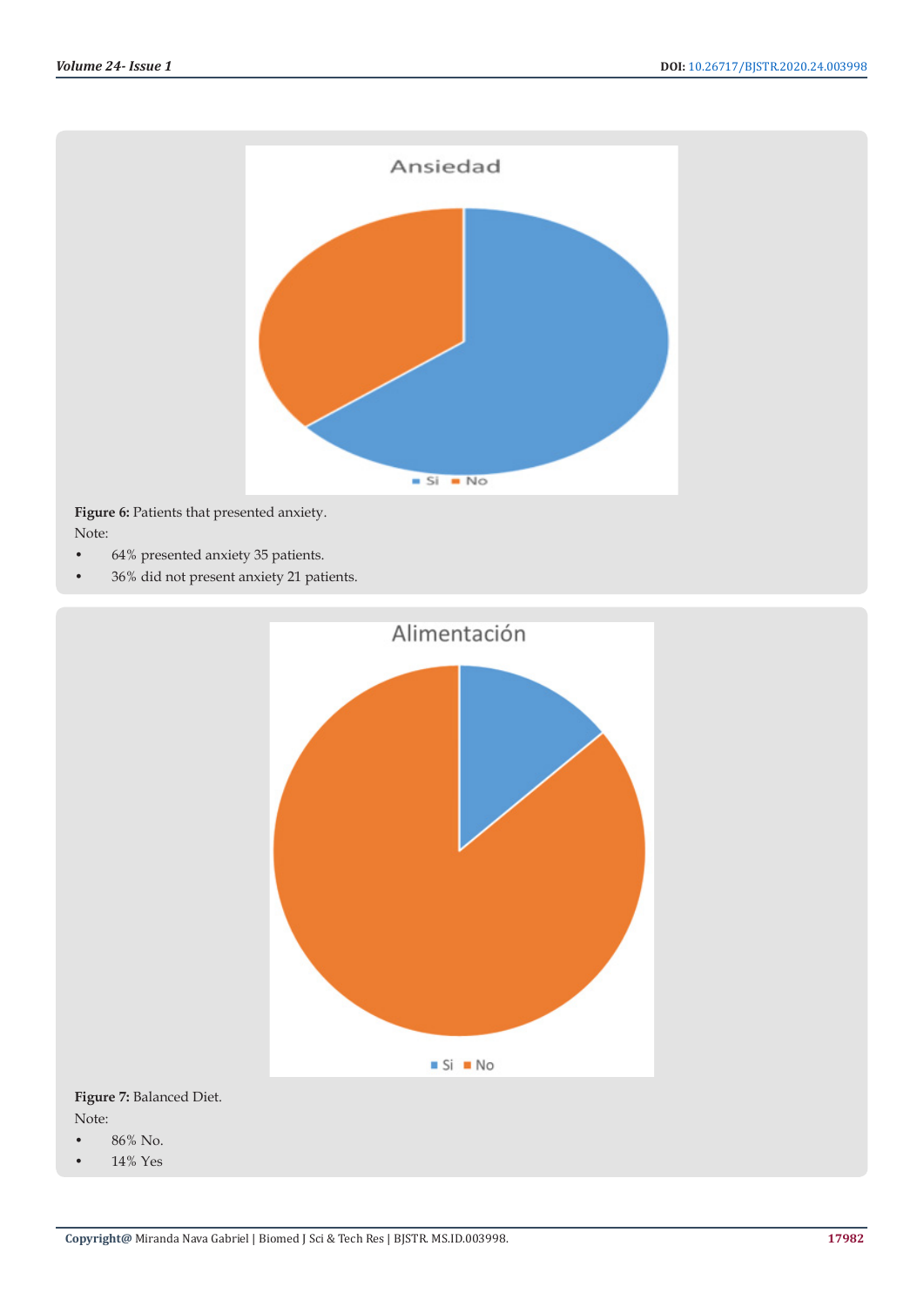

• 36% did not present anxiety 21 patients.



**Figure 7:** Balanced Diet. Note:

- 86% No.
- 14% Yes